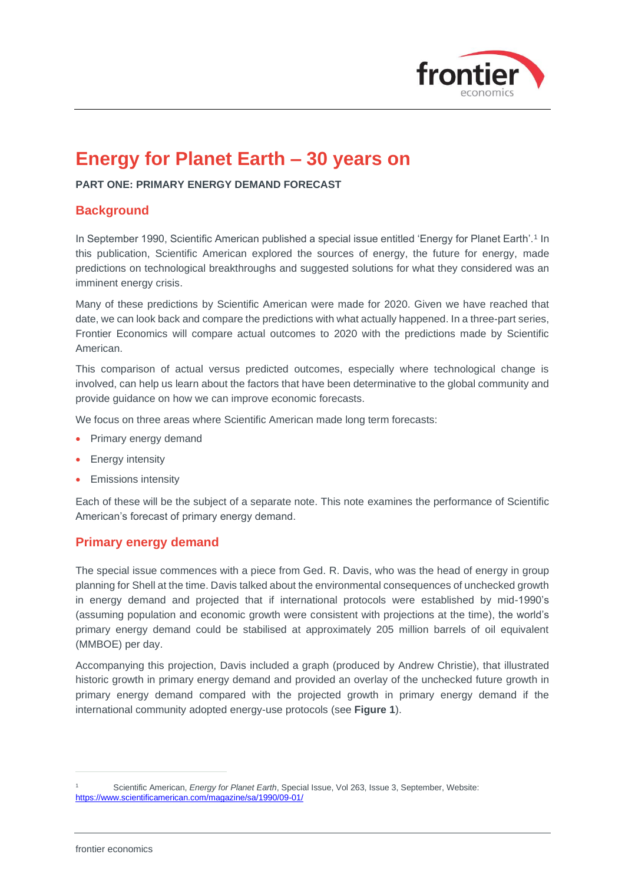

# **Energy for Planet Earth – 30 years on**

**PART ONE: PRIMARY ENERGY DEMAND FORECAST**

# **Background**

In September 1990, Scientific American published a special issue entitled 'Energy for Planet Earth'.<sup>1</sup> In this publication, Scientific American explored the sources of energy, the future for energy, made predictions on technological breakthroughs and suggested solutions for what they considered was an imminent energy crisis.

Many of these predictions by Scientific American were made for 2020. Given we have reached that date, we can look back and compare the predictions with what actually happened. In a three-part series, Frontier Economics will compare actual outcomes to 2020 with the predictions made by Scientific American.

This comparison of actual versus predicted outcomes, especially where technological change is involved, can help us learn about the factors that have been determinative to the global community and provide guidance on how we can improve economic forecasts.

We focus on three areas where Scientific American made long term forecasts:

- Primary energy demand
- Energy intensity
- Emissions intensity

Each of these will be the subject of a separate note. This note examines the performance of Scientific American's forecast of primary energy demand.

# **Primary energy demand**

The special issue commences with a piece from Ged. R. Davis, who was the head of energy in group planning for Shell at the time. Davis talked about the environmental consequences of unchecked growth in energy demand and projected that if international protocols were established by mid-1990's (assuming population and economic growth were consistent with projections at the time), the world's primary energy demand could be stabilised at approximately 205 million barrels of oil equivalent (MMBOE) per day.

Accompanying this projection, Davis included a graph (produced by Andrew Christie), that illustrated historic growth in primary energy demand and provided an overlay of the unchecked future growth in primary energy demand compared with the projected growth in primary energy demand if the international community adopted energy-use protocols (see **[Figure 1](#page-1-0)**).

<sup>1</sup> Scientific American, *Energy for Planet Earth*, Special Issue, Vol 263, Issue 3, September, Website: <https://www.scientificamerican.com/magazine/sa/1990/09-01/>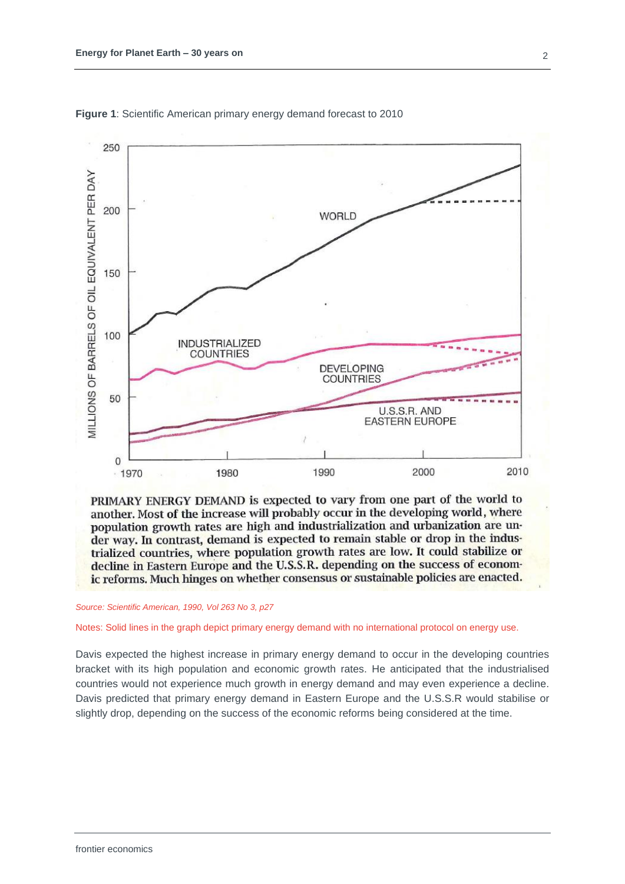

<span id="page-1-0"></span>**Figure 1**: Scientific American primary energy demand forecast to 2010

PRIMARY ENERGY DEMAND is expected to vary from one part of the world to another. Most of the increase will probably occur in the developing world, where population growth rates are high and industrialization and urbanization are under way. In contrast, demand is expected to remain stable or drop in the industrialized countries, where population growth rates are low. It could stabilize or decline in Eastern Europe and the U.S.S.R. depending on the success of economic reforms. Much hinges on whether consensus or sustainable policies are enacted.

#### *Source: Scientific American, 1990, Vol 263 No 3, p27*

Notes: Solid lines in the graph depict primary energy demand with no international protocol on energy use.

Davis expected the highest increase in primary energy demand to occur in the developing countries bracket with its high population and economic growth rates. He anticipated that the industrialised countries would not experience much growth in energy demand and may even experience a decline. Davis predicted that primary energy demand in Eastern Europe and the U.S.S.R would stabilise or slightly drop, depending on the success of the economic reforms being considered at the time.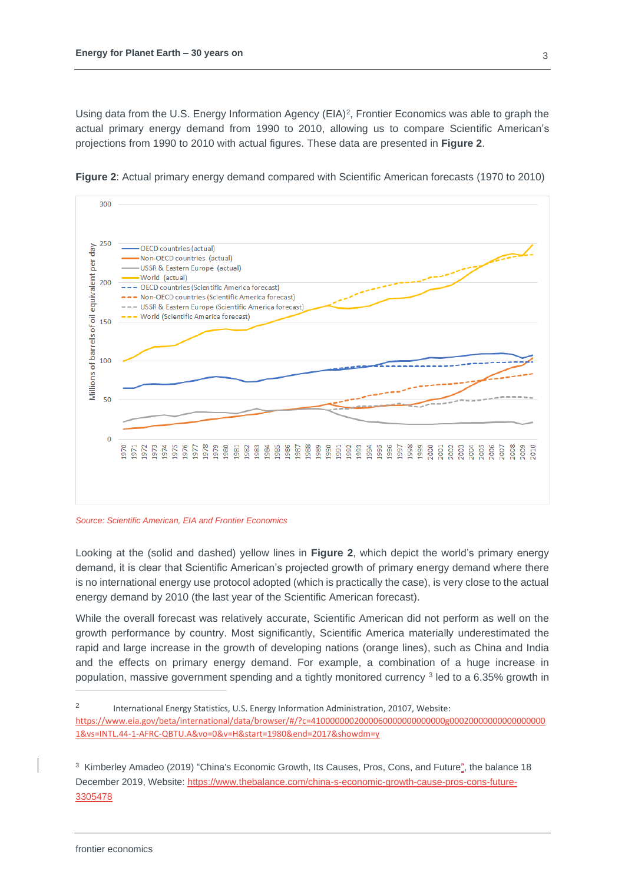Using data from the U.S. Energy Information Agency (EIA)<sup>2</sup>, Frontier Economics was able to graph the actual primary energy demand from 1990 to 2010, allowing us to compare Scientific American's projections from 1990 to 2010 with actual figures. These data are presented in **[Figure 2](#page-2-0)**.



<span id="page-2-0"></span>**Figure 2**: Actual primary energy demand compared with Scientific American forecasts (1970 to 2010)

*Source: Scientific American, EIA and Frontier Economics*

Looking at the (solid and dashed) yellow lines in **[Figure 2](#page-2-0)**, which depict the world's primary energy demand, it is clear that Scientific American's projected growth of primary energy demand where there is no international energy use protocol adopted (which is practically the case), is very close to the actual energy demand by 2010 (the last year of the Scientific American forecast).

While the overall forecast was relatively accurate, Scientific American did not perform as well on the growth performance by country. Most significantly, Scientific America materially underestimated the rapid and large increase in the growth of developing nations (orange lines), such as China and India and the effects on primary energy demand. For example, a combination of a huge increase in population, massive government spending and a tightly monitored currency <sup>3</sup> led to a 6.35% growth in

<sup>2</sup> International Energy Statistics, U.S. Energy Information Administration, 20107, Website: [https://www.eia.gov/beta/international/data/browser/#/?c=4100000002000060000000000000g00020000000000000000](https://www.eia.gov/beta/international/data/browser/#/?c=4100000002000060000000000000g000200000000000000001&vs=INTL.44-1-AFRC-QBTU.A&vo=0&v=H&start=1980&end=2017&showdm=y) [1&vs=INTL.44-1-AFRC-QBTU.A&vo=0&v=H&start=1980&end=2017&showdm=y](https://www.eia.gov/beta/international/data/browser/#/?c=4100000002000060000000000000g000200000000000000001&vs=INTL.44-1-AFRC-QBTU.A&vo=0&v=H&start=1980&end=2017&showdm=y)

<sup>3</sup> Kimberley Amadeo (2019) "China's Economic Growth, Its Causes, Pros, Cons, and Future", the balance 18 December 2019, Website[: https://www.thebalance.com/china-s-economic-growth-cause-pros-cons-future-](https://www.thebalance.com/china-s-economic-growth-cause-pros-cons-future-3305478)[3305478](https://www.thebalance.com/china-s-economic-growth-cause-pros-cons-future-3305478)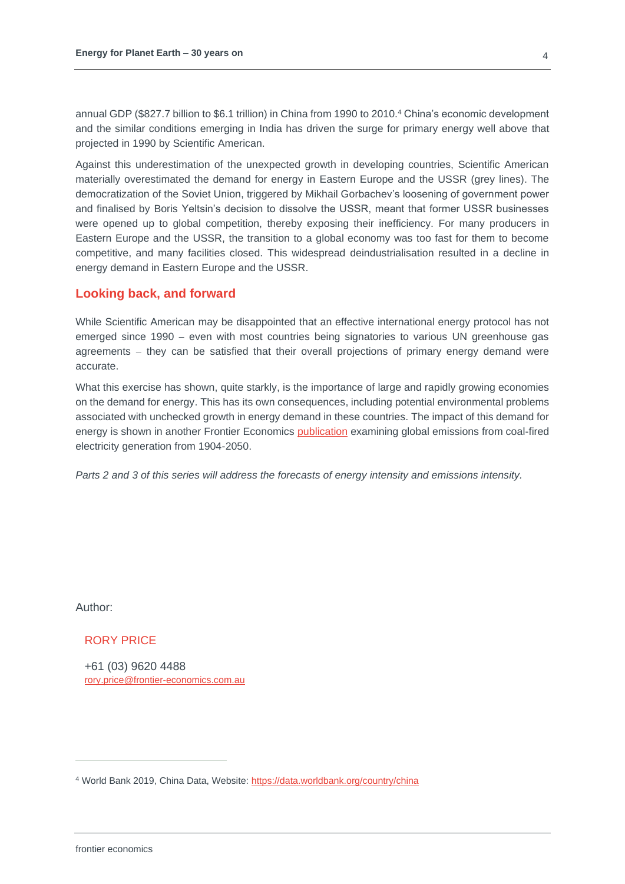annual GDP (\$827.7 billion to \$6.1 trillion) in China from 1990 to 2010.<sup>4</sup> China's economic development and the similar conditions emerging in India has driven the surge for primary energy well above that projected in 1990 by Scientific American.

Against this underestimation of the unexpected growth in developing countries, Scientific American materially overestimated the demand for energy in Eastern Europe and the USSR (grey lines). The democratization of the Soviet Union, triggered by Mikhail Gorbachev's loosening of government power and finalised by Boris Yeltsin's decision to dissolve the USSR, meant that former USSR businesses were opened up to global competition, thereby exposing their inefficiency. For many producers in Eastern Europe and the USSR, the transition to a global economy was too fast for them to become competitive, and many facilities closed. This widespread deindustrialisation resulted in a decline in energy demand in Eastern Europe and the USSR.

## **Looking back, and forward**

While Scientific American may be disappointed that an effective international energy protocol has not emerged since 1990 − even with most countries being signatories to various UN greenhouse gas agreements – they can be satisfied that their overall projections of primary energy demand were accurate.

What this exercise has shown, quite starkly, is the importance of large and rapidly growing economies on the demand for energy. This has its own consequences, including potential environmental problems associated with unchecked growth in energy demand in these countries. The impact of this demand for energy is shown in another Frontier Economics [publication](https://www.frontier-economics.com.au/publications/global-coal-fired-generator-emissions/) examining global emissions from coal-fired electricity generation from 1904-2050.

*Parts 2 and 3 of this series will address the forecasts of energy intensity and emissions intensity.*

Author:

RORY PRICE

+61 (03) 9620 4488 [rory.price@frontier-economics.com.au](mailto:rory.price@frontier-economics.com.au)

<sup>4</sup> World Bank 2019, China Data, Website:<https://data.worldbank.org/country/china>